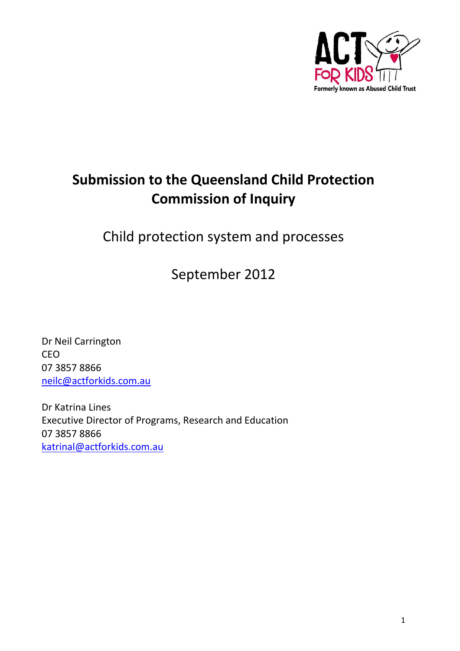

# **Submission to the Queensland Child Protection Commission of Inquiry**

Child protection system and processes

September 2012

Dr Neil Carrington CEO 07 3857 8866 [neilc@actforkids.com.au](mailto:neilc@actforkids.com.au)

Dr Katrina Lines Executive Director of Programs, Research and Education 07 3857 8866 [katrinal@actforkids.com.au](mailto:katrinal@actforkids.com.au)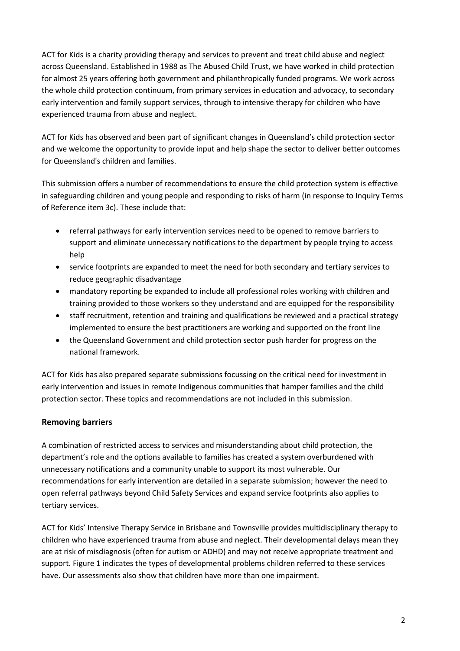ACT for Kids is a charity providing therapy and services to prevent and treat child abuse and neglect across Queensland. Established in 1988 as The Abused Child Trust, we have worked in child protection for almost 25 years offering both government and philanthropically funded programs. We work across the whole child protection continuum, from primary services in education and advocacy, to secondary early intervention and family support services, through to intensive therapy for children who have experienced trauma from abuse and neglect.

ACT for Kids has observed and been part of significant changes in Queensland's child protection sector and we welcome the opportunity to provide input and help shape the sector to deliver better outcomes for Queensland's children and families.

This submission offers a number of recommendations to ensure the child protection system is effective in safeguarding children and young people and responding to risks of harm (in response to Inquiry Terms of Reference item 3c). These include that:

- referral pathways for early intervention services need to be opened to remove barriers to support and eliminate unnecessary notifications to the department by people trying to access help
- service footprints are expanded to meet the need for both secondary and tertiary services to reduce geographic disadvantage
- mandatory reporting be expanded to include all professional roles working with children and training provided to those workers so they understand and are equipped for the responsibility
- staff recruitment, retention and training and qualifications be reviewed and a practical strategy implemented to ensure the best practitioners are working and supported on the front line
- the Queensland Government and child protection sector push harder for progress on the national framework.

ACT for Kids has also prepared separate submissions focussing on the critical need for investment in early intervention and issues in remote Indigenous communities that hamper families and the child protection sector. These topics and recommendations are not included in this submission.

# **Removing barriers**

A combination of restricted access to services and misunderstanding about child protection, the department's role and the options available to families has created a system overburdened with unnecessary notifications and a community unable to support its most vulnerable. Our recommendations for early intervention are detailed in a separate submission; however the need to open referral pathways beyond Child Safety Services and expand service footprints also applies to tertiary services.

ACT for Kids' Intensive Therapy Service in Brisbane and Townsville provides multidisciplinary therapy to children who have experienced trauma from abuse and neglect. Their developmental delays mean they are at risk of misdiagnosis (often for autism or ADHD) and may not receive appropriate treatment and support. Figure 1 indicates the types of developmental problems children referred to these services have. Our assessments also show that children have more than one impairment.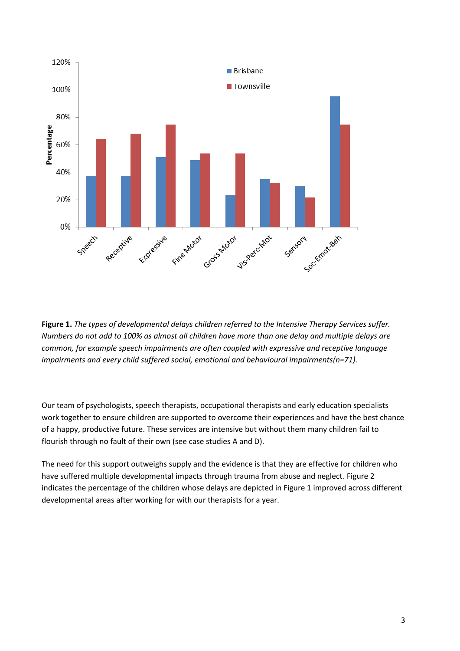

**Figure 1.** *The types of developmental delays children referred to the Intensive Therapy Services suffer. Numbers do not add to 100% as almost all children have more than one delay and multiple delays are common, for example speech impairments are often coupled with expressive and receptive language impairments and every child suffered social, emotional and behavioural impairments(n=71).*

Our team of psychologists, speech therapists, occupational therapists and early education specialists work together to ensure children are supported to overcome their experiences and have the best chance of a happy, productive future. These services are intensive but without them many children fail to flourish through no fault of their own (see case studies A and D).

The need for this support outweighs supply and the evidence is that they are effective for children who have suffered multiple developmental impacts through trauma from abuse and neglect. Figure 2 indicates the percentage of the children whose delays are depicted in Figure 1 improved across different developmental areas after working for with our therapists for a year.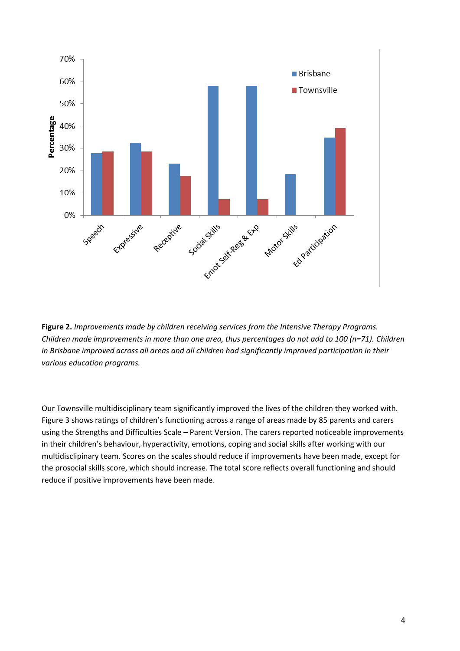

**Figure 2.** *Improvements made by children receiving services from the Intensive Therapy Programs. Children made improvements in more than one area, thus percentages do not add to 100 (n=71). Children in Brisbane improved across all areas and all children had significantly improved participation in their various education programs.*

Our Townsville multidisciplinary team significantly improved the lives of the children they worked with. Figure 3 shows ratings of children's functioning across a range of areas made by 85 parents and carers using the Strengths and Difficulties Scale – Parent Version. The carers reported noticeable improvements in their children's behaviour, hyperactivity, emotions, coping and social skills after working with our multidisclipinary team. Scores on the scales should reduce if improvements have been made, except for the prosocial skills score, which should increase. The total score reflects overall functioning and should reduce if positive improvements have been made.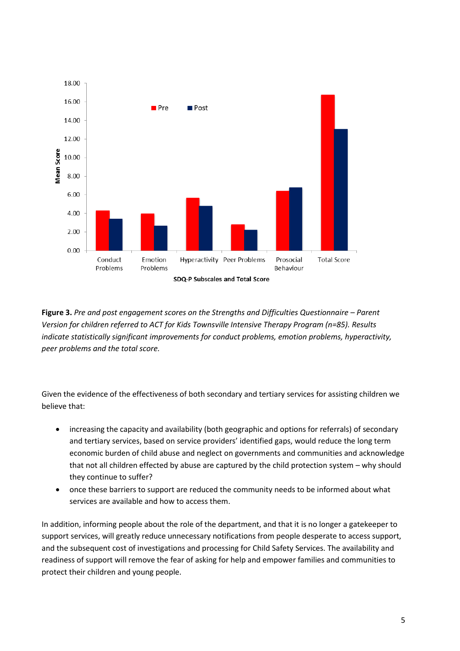

**Figure 3.** *Pre and post engagement scores on the Strengths and Difficulties Questionnaire – Parent Version for children referred to ACT for Kids Townsville Intensive Therapy Program (n=85). Results indicate statistically significant improvements for conduct problems, emotion problems, hyperactivity, peer problems and the total score.*

Given the evidence of the effectiveness of both secondary and tertiary services for assisting children we believe that:

- increasing the capacity and availability (both geographic and options for referrals) of secondary and tertiary services, based on service providers' identified gaps, would reduce the long term economic burden of child abuse and neglect on governments and communities and acknowledge that not all children effected by abuse are captured by the child protection system – why should they continue to suffer?
- once these barriers to support are reduced the community needs to be informed about what services are available and how to access them.

In addition, informing people about the role of the department, and that it is no longer a gatekeeper to support services, will greatly reduce unnecessary notifications from people desperate to access support, and the subsequent cost of investigations and processing for Child Safety Services. The availability and readiness of support will remove the fear of asking for help and empower families and communities to protect their children and young people.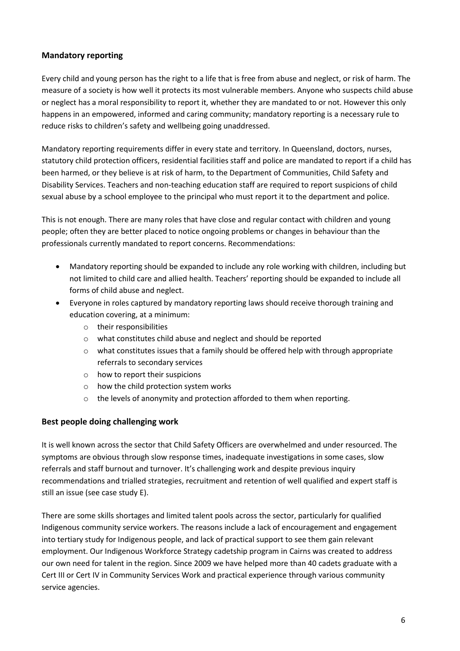# **Mandatory reporting**

Every child and young person has the right to a life that is free from abuse and neglect, or risk of harm. The measure of a society is how well it protects its most vulnerable members. Anyone who suspects child abuse or neglect has a moral responsibility to report it, whether they are mandated to or not. However this only happens in an empowered, informed and caring community; mandatory reporting is a necessary rule to reduce risks to children's safety and wellbeing going unaddressed.

Mandatory reporting requirements differ in every state and territory. In Queensland, doctors, nurses, statutory child protection officers, residential facilities staff and police are mandated to report if a child has been harmed, or they believe is at risk of harm, to the Department of Communities, Child Safety and Disability Services. Teachers and non-teaching education staff are required to report suspicions of child sexual abuse by a school employee to the principal who must report it to the department and police.

This is not enough. There are many roles that have close and regular contact with children and young people; often they are better placed to notice ongoing problems or changes in behaviour than the professionals currently mandated to report concerns. Recommendations:

- Mandatory reporting should be expanded to include any role working with children, including but not limited to child care and allied health. Teachers' reporting should be expanded to include all forms of child abuse and neglect.
- Everyone in roles captured by mandatory reporting laws should receive thorough training and education covering, at a minimum:
	- o their responsibilities
	- o what constitutes child abuse and neglect and should be reported
	- o what constitutes issues that a family should be offered help with through appropriate referrals to secondary services
	- o how to report their suspicions
	- o how the child protection system works
	- o the levels of anonymity and protection afforded to them when reporting.

# **Best people doing challenging work**

It is well known across the sector that Child Safety Officers are overwhelmed and under resourced. The symptoms are obvious through slow response times, inadequate investigations in some cases, slow referrals and staff burnout and turnover. It's challenging work and despite previous inquiry recommendations and trialled strategies, recruitment and retention of well qualified and expert staff is still an issue (see case study E).

There are some skills shortages and limited talent pools across the sector, particularly for qualified Indigenous community service workers. The reasons include a lack of encouragement and engagement into tertiary study for Indigenous people, and lack of practical support to see them gain relevant employment. Our Indigenous Workforce Strategy cadetship program in Cairns was created to address our own need for talent in the region. Since 2009 we have helped more than 40 cadets graduate with a Cert III or Cert IV in Community Services Work and practical experience through various community service agencies.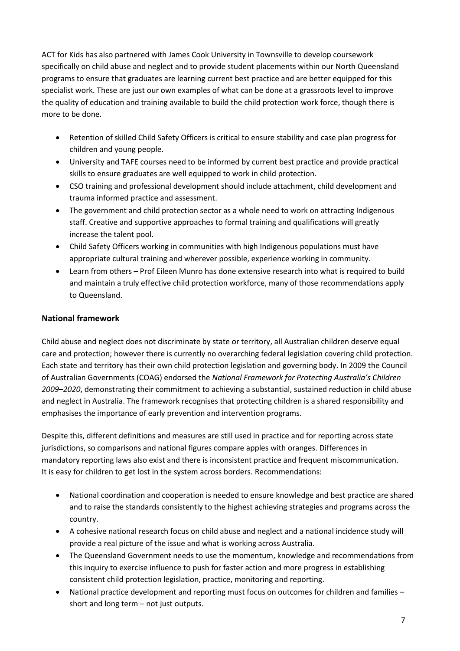ACT for Kids has also partnered with James Cook University in Townsville to develop coursework specifically on child abuse and neglect and to provide student placements within our North Queensland programs to ensure that graduates are learning current best practice and are better equipped for this specialist work. These are just our own examples of what can be done at a grassroots level to improve the quality of education and training available to build the child protection work force, though there is more to be done.

- Retention of skilled Child Safety Officers is critical to ensure stability and case plan progress for children and young people.
- University and TAFE courses need to be informed by current best practice and provide practical skills to ensure graduates are well equipped to work in child protection.
- CSO training and professional development should include attachment, child development and trauma informed practice and assessment.
- The government and child protection sector as a whole need to work on attracting Indigenous staff. Creative and supportive approaches to formal training and qualifications will greatly increase the talent pool.
- Child Safety Officers working in communities with high Indigenous populations must have appropriate cultural training and wherever possible, experience working in community.
- Learn from others Prof Eileen Munro has done extensive research into what is required to build and maintain a truly effective child protection workforce, many of those recommendations apply to Queensland.

# **National framework**

Child abuse and neglect does not discriminate by state or territory, all Australian children deserve equal care and protection; however there is currently no overarching federal legislation covering child protection. Each state and territory has their own child protection legislation and governing body. In 2009 the Council of Australian Governments (COAG) endorsed the *National Framework for Protecting Australia's Children 2009–2020*, demonstrating their commitment to achieving a substantial, sustained reduction in child abuse and neglect in Australia. The framework recognises that protecting children is a shared responsibility and emphasises the importance of early prevention and intervention programs.

Despite this, different definitions and measures are still used in practice and for reporting across state jurisdictions, so comparisons and national figures compare apples with oranges. Differences in mandatory reporting laws also exist and there is inconsistent practice and frequent miscommunication. It is easy for children to get lost in the system across borders. Recommendations:

- National coordination and cooperation is needed to ensure knowledge and best practice are shared and to raise the standards consistently to the highest achieving strategies and programs across the country.
- A cohesive national research focus on child abuse and neglect and a national incidence study will provide a real picture of the issue and what is working across Australia.
- The Queensland Government needs to use the momentum, knowledge and recommendations from this inquiry to exercise influence to push for faster action and more progress in establishing consistent child protection legislation, practice, monitoring and reporting.
- National practice development and reporting must focus on outcomes for children and families short and long term – not just outputs.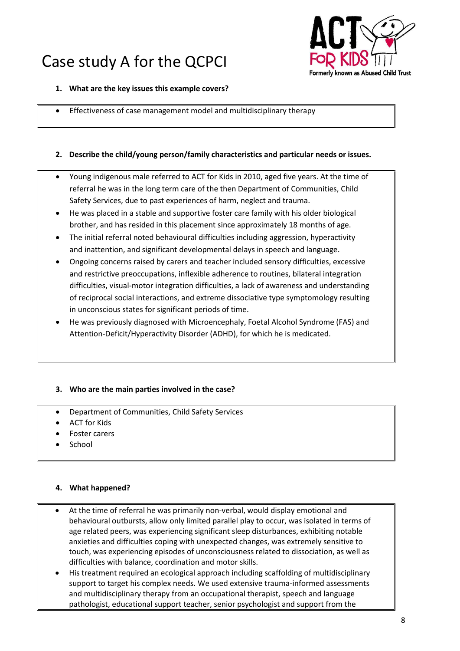# Case study A for the QCPCI



#### **1. What are the key issues this example covers?**

Effectiveness of case management model and multidisciplinary therapy

### **2. Describe the child/young person/family characteristics and particular needs or issues.**

- Young indigenous male referred to ACT for Kids in 2010, aged five years. At the time of referral he was in the long term care of the then Department of Communities, Child Safety Services, due to past experiences of harm, neglect and trauma.
- He was placed in a stable and supportive foster care family with his older biological brother, and has resided in this placement since approximately 18 months of age.
- The initial referral noted behavioural difficulties including aggression, hyperactivity and inattention, and significant developmental delays in speech and language.
- Ongoing concerns raised by carers and teacher included sensory difficulties, excessive and restrictive preoccupations, inflexible adherence to routines, bilateral integration difficulties, visual-motor integration difficulties, a lack of awareness and understanding of reciprocal social interactions, and extreme dissociative type symptomology resulting in unconscious states for significant periods of time.
- He was previously diagnosed with Microencephaly, Foetal Alcohol Syndrome (FAS) and Attention-Deficit/Hyperactivity Disorder (ADHD), for which he is medicated.

#### **3. Who are the main parties involved in the case?**

- Department of Communities, Child Safety Services
- ACT for Kids
- Foster carers
- School

#### **4. What happened?**

- At the time of referral he was primarily non-verbal, would display emotional and behavioural outbursts, allow only limited parallel play to occur, was isolated in terms of age related peers, was experiencing significant sleep disturbances, exhibiting notable anxieties and difficulties coping with unexpected changes, was extremely sensitive to touch, was experiencing episodes of unconsciousness related to dissociation, as well as difficulties with balance, coordination and motor skills.
- His treatment required an ecological approach including scaffolding of multidisciplinary support to target his complex needs. We used extensive trauma-informed assessments and multidisciplinary therapy from an occupational therapist, speech and language pathologist, educational support teacher, senior psychologist and support from the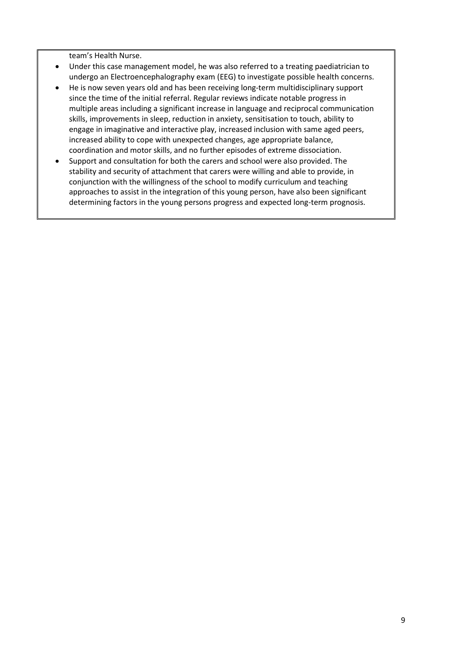team's Health Nurse.

- Under this case management model, he was also referred to a treating paediatrician to undergo an Electroencephalography exam (EEG) to investigate possible health concerns.
- He is now seven years old and has been receiving long-term multidisciplinary support since the time of the initial referral. Regular reviews indicate notable progress in multiple areas including a significant increase in language and reciprocal communication skills, improvements in sleep, reduction in anxiety, sensitisation to touch, ability to engage in imaginative and interactive play, increased inclusion with same aged peers, increased ability to cope with unexpected changes, age appropriate balance, coordination and motor skills, and no further episodes of extreme dissociation.
- Support and consultation for both the carers and school were also provided. The stability and security of attachment that carers were willing and able to provide, in conjunction with the willingness of the school to modify curriculum and teaching approaches to assist in the integration of this young person, have also been significant determining factors in the young persons progress and expected long-term prognosis.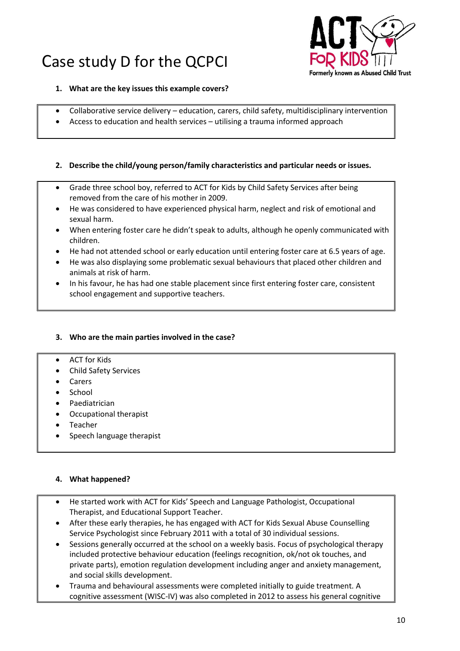# Case study D for the QCPCI



- **1. What are the key issues this example covers?**
- Collaborative service delivery education, carers, child safety, multidisciplinary intervention
- Access to education and health services utilising a trauma informed approach

### **2. Describe the child/young person/family characteristics and particular needs or issues.**

- Grade three school boy, referred to ACT for Kids by Child Safety Services after being removed from the care of his mother in 2009.
- He was considered to have experienced physical harm, neglect and risk of emotional and sexual harm.
- When entering foster care he didn't speak to adults, although he openly communicated with children.
- He had not attended school or early education until entering foster care at 6.5 years of age.
- He was also displaying some problematic sexual behaviours that placed other children and animals at risk of harm.
- In his favour, he has had one stable placement since first entering foster care, consistent school engagement and supportive teachers.

#### **3. Who are the main parties involved in the case?**

#### ACT for Kids

- Child Safety Services
- Carers
- School
- Paediatrician
- Occupational therapist
- Teacher
- Speech language therapist

#### **4. What happened?**

- He started work with ACT for Kids' Speech and Language Pathologist, Occupational Therapist, and Educational Support Teacher.
- After these early therapies, he has engaged with ACT for Kids Sexual Abuse Counselling Service Psychologist since February 2011 with a total of 30 individual sessions.
- Sessions generally occurred at the school on a weekly basis. Focus of psychological therapy included protective behaviour education (feelings recognition, ok/not ok touches, and private parts), emotion regulation development including anger and anxiety management, and social skills development.
- Trauma and behavioural assessments were completed initially to guide treatment. A cognitive assessment (WISC-IV) was also completed in 2012 to assess his general cognitive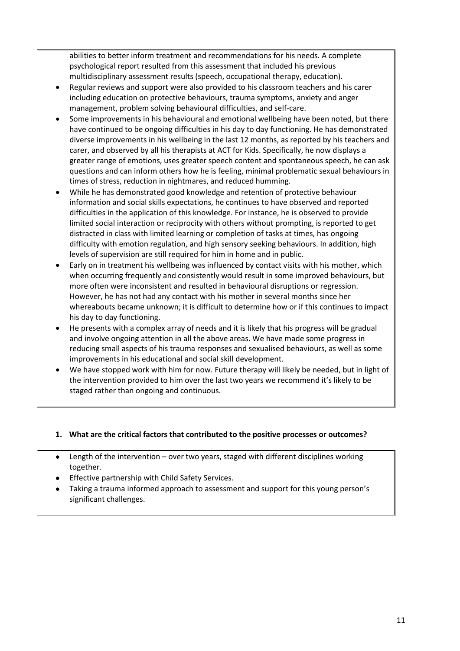abilities to better inform treatment and recommendations for his needs. A complete psychological report resulted from this assessment that included his previous multidisciplinary assessment results (speech, occupational therapy, education).

- Regular reviews and support were also provided to his classroom teachers and his carer including education on protective behaviours, trauma symptoms, anxiety and anger management, problem solving behavioural difficulties, and self-care.
- Some improvements in his behavioural and emotional wellbeing have been noted, but there have continued to be ongoing difficulties in his day to day functioning. He has demonstrated diverse improvements in his wellbeing in the last 12 months, as reported by his teachers and carer, and observed by all his therapists at ACT for Kids. Specifically, he now displays a greater range of emotions, uses greater speech content and spontaneous speech, he can ask questions and can inform others how he is feeling, minimal problematic sexual behaviours in times of stress, reduction in nightmares, and reduced humming.
- While he has demonstrated good knowledge and retention of protective behaviour information and social skills expectations, he continues to have observed and reported difficulties in the application of this knowledge. For instance, he is observed to provide limited social interaction or reciprocity with others without prompting, is reported to get distracted in class with limited learning or completion of tasks at times, has ongoing difficulty with emotion regulation, and high sensory seeking behaviours. In addition, high levels of supervision are still required for him in home and in public.
- Early on in treatment his wellbeing was influenced by contact visits with his mother, which when occurring frequently and consistently would result in some improved behaviours, but more often were inconsistent and resulted in behavioural disruptions or regression. However, he has not had any contact with his mother in several months since her whereabouts became unknown; it is difficult to determine how or if this continues to impact his day to day functioning.
- He presents with a complex array of needs and it is likely that his progress will be gradual and involve ongoing attention in all the above areas. We have made some progress in reducing small aspects of his trauma responses and sexualised behaviours, as well as some improvements in his educational and social skill development.
- We have stopped work with him for now. Future therapy will likely be needed, but in light of the intervention provided to him over the last two years we recommend it's likely to be staged rather than ongoing and continuous.

## **1. What are the critical factors that contributed to the positive processes or outcomes?**

- Length of the intervention over two years, staged with different disciplines working together.
- Effective partnership with Child Safety Services.
- Taking a trauma informed approach to assessment and support for this young person's significant challenges.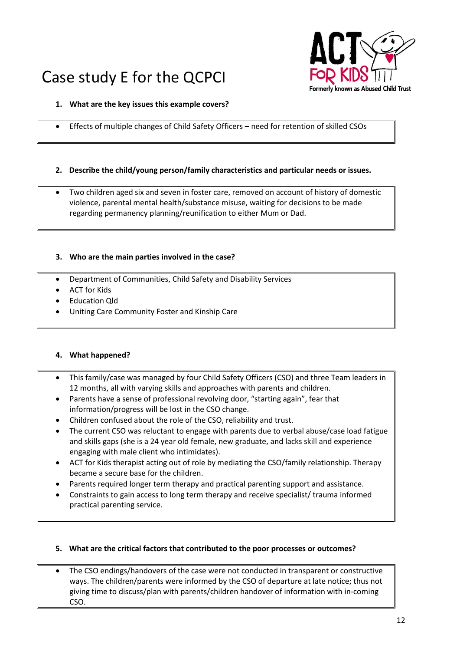# Case study E for the QCPCI



## **1. What are the key issues this example covers?**

Effects of multiple changes of Child Safety Officers – need for retention of skilled CSOs

### **2. Describe the child/young person/family characteristics and particular needs or issues.**

 Two children aged six and seven in foster care, removed on account of history of domestic violence, parental mental health/substance misuse, waiting for decisions to be made regarding permanency planning/reunification to either Mum or Dad.

#### **3. Who are the main parties involved in the case?**

- Department of Communities, Child Safety and Disability Services
- ACT for Kids
- Education Qld
- Uniting Care Community Foster and Kinship Care

#### **4. What happened?**

- This family/case was managed by four Child Safety Officers (CSO) and three Team leaders in 12 months, all with varying skills and approaches with parents and children.
- Parents have a sense of professional revolving door, "starting again", fear that information/progress will be lost in the CSO change.
- Children confused about the role of the CSO, reliability and trust.
- The current CSO was reluctant to engage with parents due to verbal abuse/case load fatigue and skills gaps (she is a 24 year old female, new graduate, and lacks skill and experience engaging with male client who intimidates).
- ACT for Kids therapist acting out of role by mediating the CSO/family relationship. Therapy became a secure base for the children.
- Parents required longer term therapy and practical parenting support and assistance.
- Constraints to gain access to long term therapy and receive specialist/ trauma informed practical parenting service.

#### **5. What are the critical factors that contributed to the poor processes or outcomes?**

 The CSO endings/handovers of the case were not conducted in transparent or constructive ways. The children/parents were informed by the CSO of departure at late notice; thus not giving time to discuss/plan with parents/children handover of information with in-coming CSO.